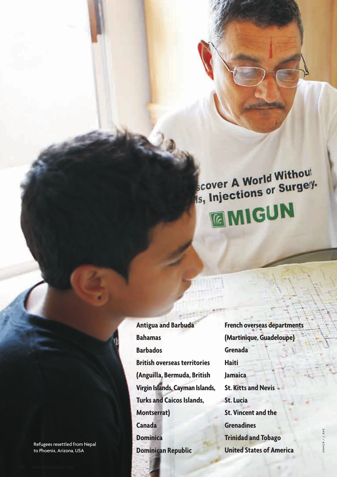# scover A World Without scover A World Witness! **EMIGUN**

**Antigua and Barbuda Bahamas Barbados British overseas territories (Anguilla, Bermuda, British Virgin Islands, Cayman Islands, Turks and Caicos Islands, Montserrat) Canada Dominica Dominican Republic**

**French overseas departments (Martinique, Guadeloupe) Grenada Haiti Jamaica St. Kitts and Nevis St. Lucia St. Vincent and the Grenadines Trinidad and Tobago United States of America**

Refugees resettled from Nepal to Phoenix, Arizona, USA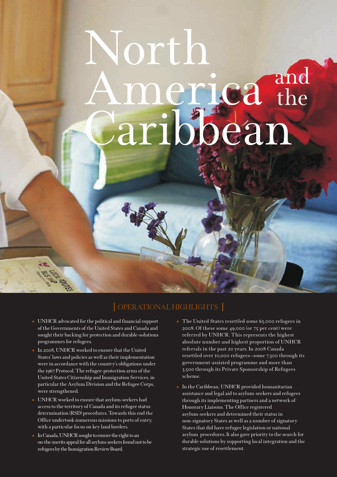# North and meriea the<br>aribbean

#### OPERATIONAL HIGHLIGHTS

- UNHCR advocated for the political and financial support of the Governments of the United States and Canada and sought their backing for protection and durable-solutions programmes for refugees.
- - In 2008, UNHCR worked to ensure that the United States' laws and policies as well as their implementation were in accordance with the country's obligations under the 1967 Protocol. The refugee-protection arms of the United States Citizenship and Immigration Services, in particular the Asylum Division and the Refugee Corps, were strengthened.
- - UNHCR worked to ensure that asylum-seekers had access to the territory of Canada and its refugee status determination (RSD) procedures. Towards this end the Office undertook numerous missions to ports of entry, with a particular focus on key land borders.
- In Canada, UNHCR sought to ensure the right to an on-the-merits appeal for all asylum-seekers found not to be refugees by the Immigration Review Board.
- The United States resettled some 65,000 refugees in 2008. Of these some 49,000 (or 75 per cent) were referred by UNHCR. This represents the highest absolute number and highest proportion of UNHCR referrals in the past 20 years. In 2008 Canada resettled over 10,000 refugees—some 7,300 through its government-assisted programme and more than 3,500 through its Private Sponsorship of Refugees scheme.
- - In the Caribbean, UNHCR provided humanitarian assistance and legal aid to asylum-seekers and refugees through its implementing partners and a network of Honorary Liaisons. The Office registered asylum-seekers and determined their status in non-signatory States as well as a number of signatory States that did have refugee legislation or national asylum procedures. It also gave priority to the search for durable solutions by supporting local integration and the strategic use of resettlement.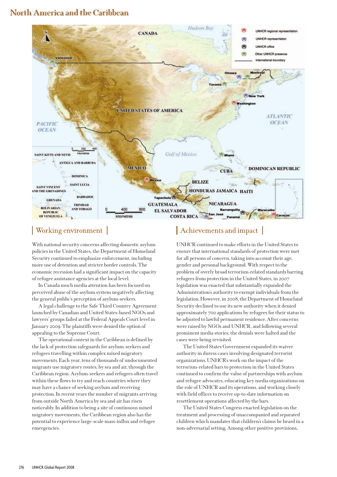#### North America and the Caribbean



#### | Working environment |

With national security concerns affecting domestic asylum policies in the United States, the Department of Homeland Security continued to emphasize enforcement, including more use of detention and stricter border controls. The economic recession had a significant impact on the capacity of refugee assistance agencies at the local level.

In Canada much media attention has been focused on perceived abuse of the asylum system negatively affecting the general public's perception of asylum-seekers.

A legal challenge to the Safe Third Country Agreement launched by Canadian and United States-based NGOs and lawyers' groups failed at the Federal Appeals Court level in January 2009. The plaintiffs were denied the option of appealing to the Supreme Court.

The operational context in the Caribbean is defined by the lack of protection safeguards for asylum-seekers and refugees travelling within complex mixed migratory movements. Each year, tens of thousands of undocumented migrants use migratory routes, by sea and air, through the Caribbean region. Asylum-seekers and refugees often travel within these flows to try and reach countries where they may have a chance of seeking asylum and receiving protection. In recent years the number of migrants arriving from outside North America by sea and air has risen noticeably. In addition to being a site of continuous mixed migratory movements, the Caribbean region also has the potential to experience large-scale mass-influx and refugee emergencies.

#### Achievements and impact

UNHCR continued to make efforts in the United States to ensure that international standards of protection were met for all persons of concern, taking into account their age, gender and personal background. With respect to the problem of overly broad terrorism-related standards barring refugees from protection in the United States, in 2007 legislation was enacted that substantially expanded the Administration's authority to exempt individuals from the legislation. However, in 2008, the Department of Homeland Security declined to use its new authority when it denied approximately 700 applications by refugees for their status to be adjusted to lawful permanent residence. After concerns were raised by NGOs and UNHCR, and following several prominent media stories, the denials were halted and the cases were being revisited.

The United States Government expanded its waiver authority in duress cases involving designated terrorist organizations. UNHCR's work on the impact of the terrorism-related bars to protection in the United States continued to confirm the value of partnerships with asylum and refugee advocates, educating key media organizations on the role of UNHCR and its operations, and working closely with field offices to receive up-to-date information on resettlement operations affected by the bars.

The United States Congress enacted legislation on the treatment and processing of unaccompanied and separated children which mandates that children's claims be heard in a non-adversarial setting. Among other positive provisions,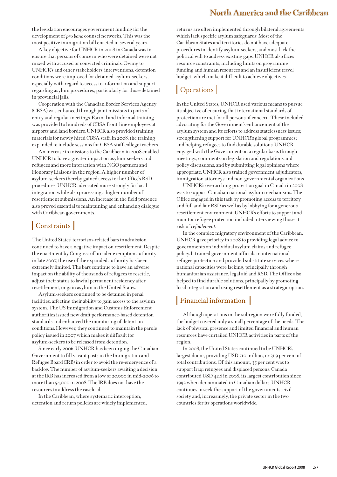#### North America and the Caribbean

the legislation encourages government funding for the development of pro bono counsel networks. This was the most positive immigration bill enacted in several years.

A key objective for UNHCR in 2008 in Canada was to ensure that persons of concern who were detained were not mixed with accused or convicted criminals. Owing to UNHCR's and other stakeholders' interventions, detention conditions were improved for detained asylum-seekers, especially with regard to access to information and support regarding asylum procedures, particularly for those detained in provincial jails.

Cooperation with the Canadian Border Services Agency (CBSA) was enhanced through joint missions to ports of entry and regular meetings. Formal and informal training was provided to hundreds of CBSA front-line employees at airports and land borders. UNHCR also provided training materials for newly hired CBSA staff. In 2008, the training expanded to include sessions for CBSA staff college teachers.

An increase in missions to the Caribbean in 2008 enabled UNHCR to have a greater impact on asylum-seekers and refugees and more interaction with NGO partners and Honorary Liaisons in the region. A higher number of asylum-seekers thereby gained access to the Office's RSD procedures. UNHCR advocated more strongly for local integration while also processing a higher number of resettlement submissions. An increase in the field presence also proved essential to maintaining and enhancing dialogue with Caribbean governments.

#### | Constraints |

The United States' terrorism-related bars to admission continued to have a negative impact on resettlement. Despite the enactment by Congress of broader exemption authority in late 2007, the use of the expanded authority has been extremely limited. The bars continue to have an adverse impact on the ability of thousands of refugees to resettle, adjust their status to lawful permanent residency after resettlement, or gain asylum in the United States.

Asylum-seekers continued to be detained in penal facilities, affecting their ability to gain access to the asylum system. The US Immigration and Customs Enforcement authorities issued new draft performance-based detention standards and enhanced the monitoring of detention conditions. However, they continued to maintain the parole policy issued in 2007 which makes it difficult for asylum-seekers to be released from detention.

Since early 2006, UNHCR has been urging the Canadian Government to fill vacant posts in the Immigration and Refugee Board (IRB) in order to avoid the re-emergence of a backlog. The number of asylum-seekers awaiting a decision at the IRB has increased from a low of 20,000 in mid-2006 to more than 54,000 in 2008. The IRB does not have the resources to address the caseload.

In the Caribbean, where systematic interception, detention and return policies are widely implemented, returns are often implemented through bilateral agreements which lack specific asylum safeguards. Most of the Caribbean States and territories do not have adequate procedures to identify asylum-seekers, and most lack the political will to address existing gaps. UNHCR also faces resource constraints, including limits on programme funding and human resources and an insufficient travel budget, which make it difficult to achieve objectives.

## | Operations |

In the United States, UNHCR used various means to pursue its objective of ensuring that international standards of protection are met for all persons of concern. These included advocating for the Government's enhancement of the asylum system and its efforts to address statelessness issues; strengthening support for UNHCR's global programmes; and helping refugees to find durable solutions. UNHCR engaged with the Government on a regular basis through meetings, comments on legislation and regulations and policy discussions, and by submitting legal opinions where appropriate. UNHCR also trained government adjudicators, immigration attorneys and non-governmental organizations.

UNHCR's overarching protection goal in Canada in 2008 was to support Canadian national asylum mechanisms. The Office engaged in this task by promoting access to territory and full and fair RSD as well as by lobbying for a generous resettlement environment. UNHCR's efforts to support and monitor refugee protection included interviewing those at risk of

In the complex migratory environment of the Caribbean, UNHCR gave priority in 2008 to providing legal advice to governments on individual asylum claims and refugee policy. It trained government officials in international refugee protection and provided substitute services where national capacities were lacking, principally through humanitarian assistance, legal aid and RSD. The Office also helped to find durable solutions, principally by promoting local integration and using resettlement as a strategic option.

### Financial information

Although operations in the subregion were fully funded, the budget covered only a small percentage of the needs. The lack of physical presence and limited financial and human resources have curtailed UNHCR activities in parts of the region.

In 2008, the United States continued to be UNHCR's largest donor, providing USD 510 million, or 31.9 per cent of total contributions. Of this amount, 35 per cent was to support Iraqi refugees and displaced persons. Canada contributed USD 42.8 in 2008, its largest contribution since 1992 when denominated in Canadian dollars. UNHCR continues to seek the support of the governments, civil society and, increasingly, the private sector in the two countries for its operations worldwide.